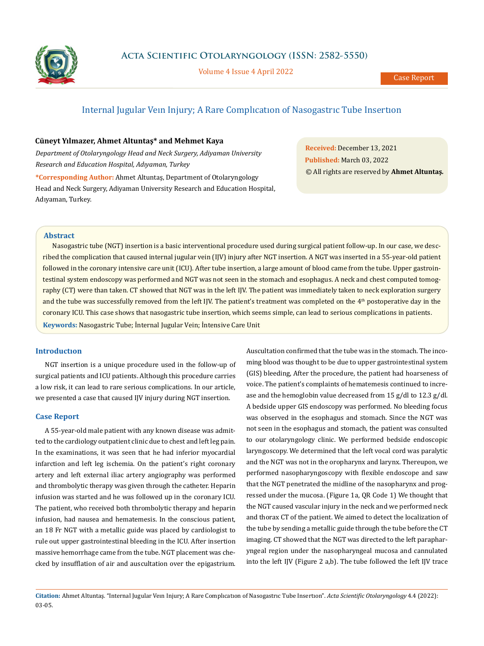

**Acta Scientific Otolaryngology (ISSN: 2582-5550)**

Volume 4 Issue 4 April 2022

# Internal Jugular Veın Injury; A Rare Complıcatıon of Nasogastrıc Tube Insertıon

### **Cüneyt Yılmazer, Ahmet Altuntaş\* and Mehmet Kaya**

*Department of Otolaryngology Head and Neck Surgery, Adiyaman University Research and Education Hospital, Adıyaman, Turkey*

**\*Corresponding Author:** Ahmet Altuntaş, Department of Otolaryngology Head and Neck Surgery, Adiyaman University Research and Education Hospital, Adıyaman, Turkey.

**Received:** December 13, 2021 **Published:** March 03, 2022 © All rights are reserved by **Ahmet Altuntaş***.*

## **Abstract**

Nasogastric tube (NGT) insertion is a basic interventional procedure used during surgical patient follow-up. In our case, we described the complication that caused internal jugular vein (IJV) injury after NGT insertion. A NGT was inserted in a 55-year-old patient followed in the coronary intensive care unit (ICU). After tube insertion, a large amount of blood came from the tube. Upper gastrointestinal system endoscopy was performed and NGT was not seen in the stomach and esophagus. A neck and chest computed tomography (CT) were than taken. CT showed that NGT was in the left IJV. The patient was immediately taken to neck exploration surgery and the tube was successfully removed from the left IJV. The patient's treatment was completed on the 4<sup>th</sup> postoperative day in the coronary ICU. This case shows that nasogastric tube insertion, which seems simple, can lead to serious complications in patients.

**Keywords:** Nasogastric Tube; İnternal Jugular Vein; İntensive Care Unit

## **Introductıon**

NGT insertion is a unique procedure used in the follow-up of surgical patients and ICU patients. Although this procedure carries a low risk, it can lead to rare serious complications. In our article, we presented a case that caused IJV injury during NGT insertion.

#### **Case Report**

A 55-year-old male patient with any known disease was admitted to the cardiology outpatient clinic due to chest and left leg pain. In the examinations, it was seen that he had inferior myocardial infarction and left leg ischemia. On the patient's right coronary artery and left external iliac artery angiography was performed and thrombolytic therapy was given through the catheter. Heparin infusion was started and he was followed up in the coronary ICU. The patient, who received both thrombolytic therapy and heparin infusion, had nausea and hematemesis. In the conscious patient, an 18 Fr NGT with a metallic guide was placed by cardiologist to rule out upper gastrointestinal bleeding in the ICU. After insertion massive hemorrhage came from the tube. NGT placement was checked by insufflation of air and auscultation over the epigastrium.

Auscultation confirmed that the tube was in the stomach. The incoming blood was thought to be due to upper gastrointestinal system (GIS) bleeding, After the procedure, the patient had hoarseness of voice. The patient's complaints of hematemesis continued to increase and the hemoglobin value decreased from 15 g/dl to 12.3 g/dl. A bedside upper GIS endoscopy was performed. No bleeding focus was observed in the esophagus and stomach. Since the NGT was not seen in the esophagus and stomach, the patient was consulted to our otolaryngology clinic. We performed bedside endoscopic laryngoscopy. We determined that the left vocal cord was paralytic and the NGT was not in the oropharynx and larynx. Thereupon, we performed nasopharyngoscopy with flexible endoscope and saw that the NGT penetrated the midline of the nasopharynx and progressed under the mucosa. (Figure 1a, QR Code 1) We thought that the NGT caused vascular injury in the neck and we performed neck and thorax CT of the patient. We aimed to detect the localization of the tube by sending a metallic guide through the tube before the CT imaging. CT showed that the NGT was directed to the left parapharyngeal region under the nasopharyngeal mucosa and cannulated into the left IJV (Figure 2 a,b). The tube followed the left IJV trace

**Citation:** Ahmet Altuntaş*.* "Internal Jugular Veın Injury; A Rare Complıcatıon of Nasogastrıc Tube Insertıon". *Acta Scientific Otolaryngology* 4.4 (2022): 03-05.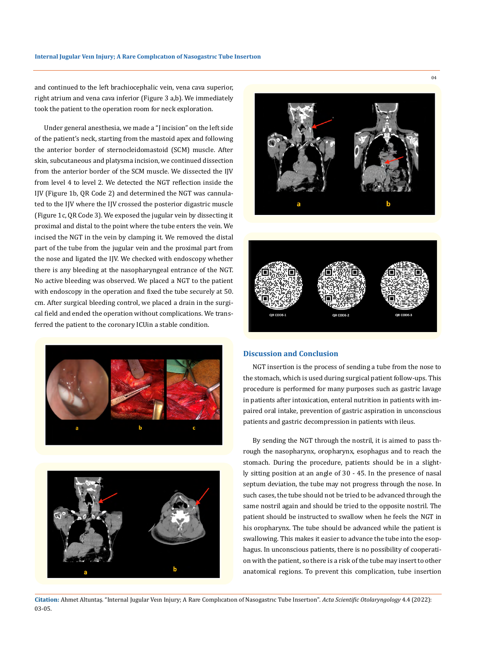and continued to the left brachiocephalic vein, vena cava superior, right atrium and vena cava inferior (Figure 3 a,b). We immediately took the patient to the operation room for neck exploration.

Under general anesthesia, we made a "J incision" on the left side of the patient's neck, starting from the mastoid apex and following the anterior border of sternocleidomastoid (SCM) muscle. After skin, subcutaneous and platysma incision, we continued dissection from the anterior border of the SCM muscle. We dissected the IJV from level 4 to level 2. We detected the NGT reflection inside the IJV (Figure 1b, QR Code 2) and determined the NGT was cannulated to the IJV where the IJV crossed the posterior digastric muscle (Figure 1c, QR Code 3). We exposed the jugular vein by dissecting it proximal and distal to the point where the tube enters the vein. We incised the NGT in the vein by clamping it. We removed the distal part of the tube from the jugular vein and the proximal part from the nose and ligated the IJV. We checked with endoscopy whether there is any bleeding at the nasopharyngeal entrance of the NGT. No active bleeding was observed. We placed a NGT to the patient with endoscopy in the operation and fixed the tube securely at 50. cm. After surgical bleeding control, we placed a drain in the surgical field and ended the operation without complications. We transferred the patient to the coronary ICUin a stable condition.









#### **Discussion and Conclusion**

NGT insertion is the process of sending a tube from the nose to the stomach, which is used during surgical patient follow-ups. This procedure is performed for many purposes such as gastric lavage in patients after intoxication, enteral nutrition in patients with impaired oral intake, prevention of gastric aspiration in unconscious patients and gastric decompression in patients with ileus.

By sending the NGT through the nostril, it is aimed to pass through the nasopharynx, oropharynx, esophagus and to reach the stomach. During the procedure, patients should be in a slightly sitting position at an angle of 30 - 45. In the presence of nasal septum deviation, the tube may not progress through the nose. In such cases, the tube should not be tried to be advanced through the same nostril again and should be tried to the opposite nostril. The patient should be instructed to swallow when he feels the NGT in his oropharynx. The tube should be advanced while the patient is swallowing. This makes it easier to advance the tube into the esophagus. In unconscious patients, there is no possibility of cooperation with the patient, so there is a risk of the tube may insert to other anatomical regions. To prevent this complication, tube insertion